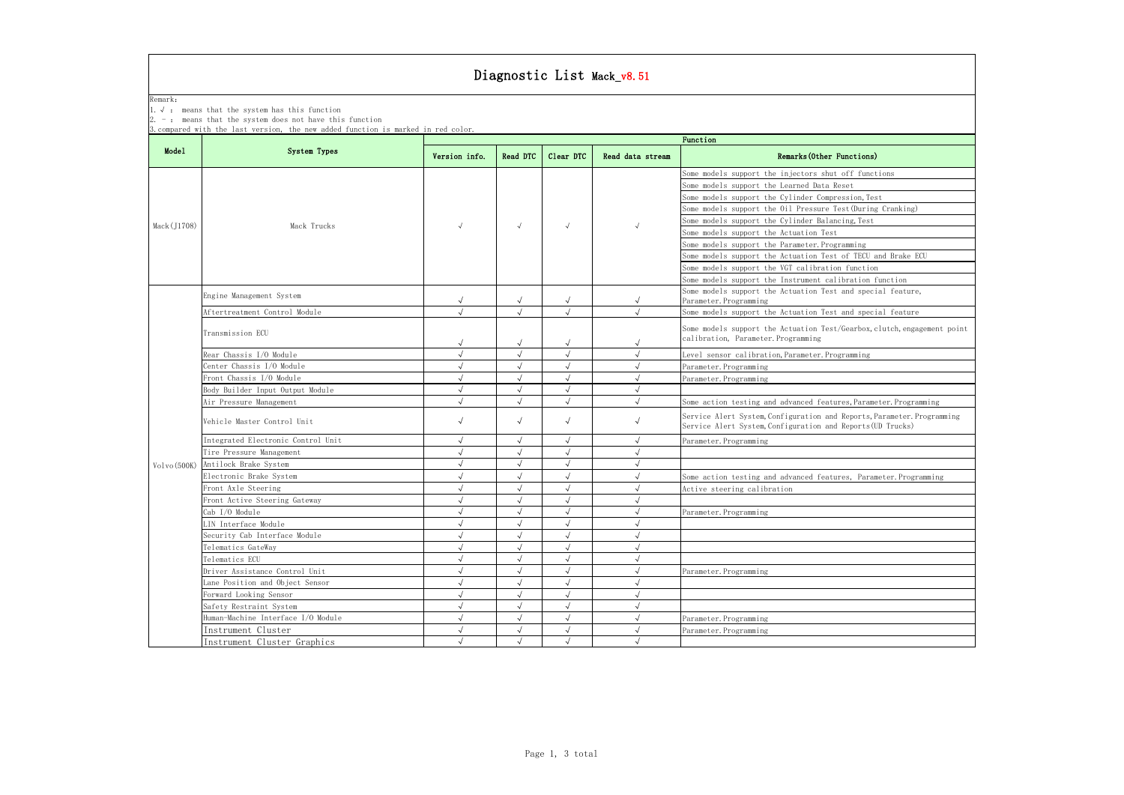|             |                                                                                                                                                                                                      |               |            |            | Diagnostic List Mack_v8.51 |                                                                                                                                        |  |  |
|-------------|------------------------------------------------------------------------------------------------------------------------------------------------------------------------------------------------------|---------------|------------|------------|----------------------------|----------------------------------------------------------------------------------------------------------------------------------------|--|--|
| Remark:     | 1. $\sqrt{ }$ : means that the system has this function<br>-: means that the system does not have this function<br>3. compared with the last version, the new added function is marked in red color. |               |            |            |                            |                                                                                                                                        |  |  |
|             | <b>System Types</b>                                                                                                                                                                                  | Function      |            |            |                            |                                                                                                                                        |  |  |
| Mode1       |                                                                                                                                                                                                      | Version info. | Read DTC   | Clear DTC  | Read data stream           | Remarks (Other Functions)                                                                                                              |  |  |
|             |                                                                                                                                                                                                      |               |            |            |                            | Some models support the injectors shut off functions<br>Some models support the Learned Data Reset                                     |  |  |
|             | Mack Trucks                                                                                                                                                                                          |               | $\sqrt{ }$ | $\sqrt{ }$ |                            | Some models support the Cylinder Compression, Test                                                                                     |  |  |
|             |                                                                                                                                                                                                      |               |            |            |                            | Some models support the Oil Pressure Test (During Cranking)                                                                            |  |  |
| Mack(J1708) |                                                                                                                                                                                                      |               |            |            |                            | Some models support the Cylinder Balancing, Test                                                                                       |  |  |
|             |                                                                                                                                                                                                      |               |            |            |                            | Some models support the Actuation Test                                                                                                 |  |  |
|             |                                                                                                                                                                                                      |               |            |            |                            | Some models support the Parameter. Programming                                                                                         |  |  |
|             |                                                                                                                                                                                                      |               |            |            |                            | Some models support the Actuation Test of TECU and Brake ECU                                                                           |  |  |
|             |                                                                                                                                                                                                      |               |            |            |                            | Some models support the VGT calibration function                                                                                       |  |  |
|             |                                                                                                                                                                                                      |               |            |            |                            | Some models support the Instrument calibration function                                                                                |  |  |
|             | Engine Management System                                                                                                                                                                             |               | $\sqrt{ }$ |            | $\sqrt{ }$                 | Some models support the Actuation Test and special feature,<br>Parameter. Programming                                                  |  |  |
|             | Aftertreatment Control Module                                                                                                                                                                        | $\sqrt{ }$    | $\sqrt{ }$ | $\sqrt{2}$ | $\sqrt{2}$                 | Some models support the Actuation Test and special feature                                                                             |  |  |
|             | Transmission ECU                                                                                                                                                                                     |               | $\sqrt{ }$ | $\sqrt{}$  | $\sqrt{ }$                 | Some models support the Actuation Test/Gearbox, clutch, engagement point<br>calibration, Parameter. Programming                        |  |  |
|             | Rear Chassis I/O Module                                                                                                                                                                              | $\sqrt{ }$    |            |            | $\sqrt{ }$                 | Level sensor calibration, Parameter. Programming                                                                                       |  |  |
|             | Center Chassis I/O Module                                                                                                                                                                            | $\sqrt{ }$    | $\sqrt{ }$ | $\sqrt{ }$ | $\sqrt{ }$                 | Parameter. Programming                                                                                                                 |  |  |
|             | Front Chassis I/O Module                                                                                                                                                                             | $\sqrt{ }$    | $\sqrt{ }$ | $\sqrt{2}$ | $\sqrt{ }$                 | Parameter. Programming                                                                                                                 |  |  |
|             | Body Builder Input Output Module                                                                                                                                                                     | $\sqrt{ }$    | $\sqrt{ }$ | $\sqrt{}$  | $\sqrt{ }$                 |                                                                                                                                        |  |  |
|             | Air Pressure Management                                                                                                                                                                              |               |            | $\sqrt{2}$ |                            | Some action testing and advanced features, Parameter. Programming                                                                      |  |  |
|             | Vehicle Master Control Unit                                                                                                                                                                          | $\sqrt{ }$    | $\sqrt{ }$ | $\sqrt{ }$ | $\sqrt{}$                  | Service Alert System, Configuration and Reports, Parameter. Programming<br>Service Alert System, Configuration and Reports (UD Trucks) |  |  |
|             | Integrated Electronic Control Unit                                                                                                                                                                   | $\sqrt{ }$    | $\sqrt{ }$ | $\sqrt{2}$ | $\sqrt{2}$                 | Parameter. Programming                                                                                                                 |  |  |
|             | Tire Pressure Management                                                                                                                                                                             |               |            | $\sqrt{}$  | $\sqrt{ }$                 |                                                                                                                                        |  |  |
| Volvo(500K) | Antilock Brake System                                                                                                                                                                                |               | $\sqrt{ }$ |            | $\sqrt{ }$                 |                                                                                                                                        |  |  |
|             | Electronic Brake System                                                                                                                                                                              | $\sqrt{ }$    |            |            | $\sqrt{ }$                 | Some action testing and advanced features, Parameter. Programming                                                                      |  |  |
|             | Front Axle Steering                                                                                                                                                                                  | $\sqrt{ }$    | $\sqrt{ }$ | $\sqrt{}$  | $\sqrt{ }$                 | Active steering calibration                                                                                                            |  |  |
|             | Front Active Steering Gateway                                                                                                                                                                        | $\sqrt{ }$    | $\sqrt{2}$ | $\sqrt{2}$ | $\sqrt{}$                  |                                                                                                                                        |  |  |
|             | Cab I/O Module                                                                                                                                                                                       |               |            | $\sqrt{}$  | $\sqrt{ }$                 | Parameter. Programming                                                                                                                 |  |  |
|             | LIN Interface Module                                                                                                                                                                                 |               |            | $\sqrt{ }$ | $\sqrt{ }$                 |                                                                                                                                        |  |  |
|             | Security Cab Interface Module                                                                                                                                                                        | $\sqrt{ }$    |            | $\sqrt{}$  | $\sqrt{ }$                 |                                                                                                                                        |  |  |
|             | Telematics GateWay                                                                                                                                                                                   | $\sqrt{ }$    |            | $\sqrt{2}$ | $\sqrt{ }$                 |                                                                                                                                        |  |  |
|             | Telematics ECU                                                                                                                                                                                       | $\sqrt{ }$    | $\sqrt{ }$ | $\sqrt{}$  | $\sqrt{}$                  |                                                                                                                                        |  |  |
|             | Driver Assistance Control Unit                                                                                                                                                                       | $\sqrt{ }$    | $\sqrt{ }$ | $\sqrt{ }$ | $\sqrt{2}$                 | Parameter. Programming                                                                                                                 |  |  |
|             | Lane Position and Object Sensor                                                                                                                                                                      |               |            | $\sqrt{}$  | $\sqrt{ }$                 |                                                                                                                                        |  |  |
|             | Forward Looking Sensor                                                                                                                                                                               |               |            | $\sqrt{ }$ | $\sqrt{ }$                 |                                                                                                                                        |  |  |
|             | Safety Restraint System                                                                                                                                                                              | $\sqrt{ }$    | $\sqrt{ }$ | $\sqrt{ }$ | $\sqrt{ }$                 |                                                                                                                                        |  |  |
|             | Human-Machine Interface I/O Module                                                                                                                                                                   | $\sqrt{ }$    | $\sqrt{ }$ | $\sqrt{}$  | $\sqrt{ }$                 | Parameter. Programming                                                                                                                 |  |  |
|             | Instrument Cluster                                                                                                                                                                                   | $\sqrt{ }$    | $\sqrt{ }$ | $\sqrt{}$  | $\sqrt{}$                  | Parameter. Programming                                                                                                                 |  |  |
|             | Instrument Cluster Graphics                                                                                                                                                                          | $\sqrt{ }$    |            | $\sqrt{}$  | $\sqrt{}$                  |                                                                                                                                        |  |  |

## Diagnostic List Mack\_v8.51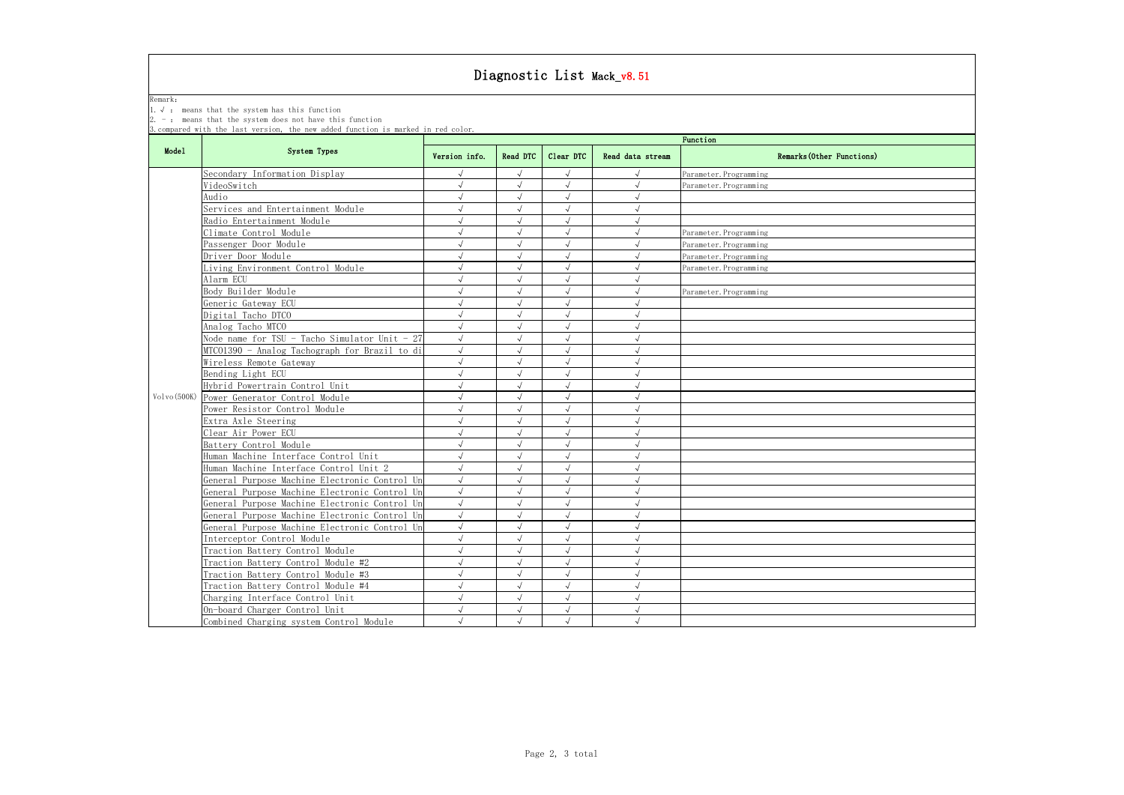Remark:

1.√ : means that the system has this function

2.  $-$  : means that the system does not have this function

3.compared with the last version, the new added function is marked in red color.

## Diagnostic List Mack\_v8.51

|             | <b>System Types</b>                           |               |            |            | Function         |                           |
|-------------|-----------------------------------------------|---------------|------------|------------|------------------|---------------------------|
| Mode1       |                                               | Version info. | Read DTC   | Clear DTC  | Read data stream | Remarks (Other Functions) |
|             | Secondary Information Display                 | $\sqrt{ }$    | $\sqrt{ }$ | $\sqrt{ }$ | $\sqrt{ }$       | Parameter. Programming    |
|             | VideoSwitch                                   | $\sqrt{ }$    | $\sqrt{ }$ | $\sqrt{ }$ | $\sqrt{ }$       | Parameter. Programming    |
|             | Audio                                         | $\sqrt{}$     | $\sqrt{ }$ | $\sqrt{ }$ | $\sqrt{ }$       |                           |
|             | Services and Entertainment Module             | $\sqrt{ }$    | $\sqrt{ }$ | $\sqrt{ }$ | $\sqrt{ }$       |                           |
|             | Radio Entertainment Module                    | $\sqrt{ }$    | $\sqrt{ }$ | $\sqrt{ }$ | $\sqrt{ }$       |                           |
|             | Climate Control Module                        | $\sqrt{ }$    | $\sqrt{ }$ | $\sqrt{ }$ | $\sqrt{ }$       | Parameter. Programming    |
|             | Passenger Door Module                         | $\sqrt{ }$    | $\sqrt{ }$ | $\sqrt{ }$ | $\sqrt{ }$       | Parameter. Programming    |
|             | Driver Door Module                            | $\sqrt{ }$    |            | $\sqrt{ }$ | $\sqrt{ }$       | Parameter. Programming    |
|             | Living Environment Control Module             | $\sqrt{ }$    | $\sqrt{ }$ | $\sqrt{}$  | $\sqrt{ }$       | Parameter. Programming    |
|             | Alarm ECU                                     | $\sqrt{ }$    | $\sqrt{ }$ | $\sqrt{ }$ | $\sqrt{ }$       |                           |
|             | Body Builder Module                           | $\sqrt{ }$    | $\sqrt{ }$ | $\sqrt{ }$ | $\sqrt{ }$       | Parameter. Programming    |
|             | Generic Gateway ECU                           | $\sqrt{ }$    | $\sqrt{ }$ | $\sqrt{ }$ | $\sqrt{ }$       |                           |
|             | Digital Tacho DTCO                            | $\sqrt{ }$    | $\sqrt{ }$ | $\sqrt{ }$ | $\sqrt{ }$       |                           |
|             | Analog Tacho MTCO                             | $\sqrt{ }$    | $\sqrt{ }$ | $\sqrt{ }$ | $\sqrt{ }$       |                           |
|             | Node name for TSU - Tacho Simulator Unit - 27 | $\sqrt{ }$    | $\sqrt{ }$ | $\sqrt{ }$ | $\sqrt{ }$       |                           |
|             | MTC01390 - Analog Tachograph for Brazil to di | $\sqrt{ }$    | $\sqrt{ }$ | $\sqrt{ }$ | $\sqrt{ }$       |                           |
|             | Wireless Remote Gateway                       | $\sqrt{ }$    | $\sqrt{ }$ | $\sqrt{ }$ | $\sqrt{ }$       |                           |
|             | Bending Light ECU                             | $\sqrt{ }$    | $\sqrt{ }$ | $\sqrt{ }$ | $\sqrt{ }$       |                           |
|             | Hybrid Powertrain Control Unit                | $\sqrt{ }$    | $\sqrt{ }$ | $\sqrt{ }$ | $\sqrt{ }$       |                           |
| Volvo(500K) | Power Generator Control Module                | $\sqrt{ }$    | $\sqrt{ }$ | $\sqrt{ }$ | $\sqrt{ }$       |                           |
|             | Power Resistor Control Module                 | $\sqrt{ }$    | $\sqrt{ }$ | $\sqrt{ }$ | $\sqrt{ }$       |                           |
|             | Extra Axle Steering                           | $\sqrt{ }$    | $\sqrt{ }$ | $\sqrt{ }$ | $\sqrt{ }$       |                           |
|             | Clear Air Power ECU                           | $\sqrt{ }$    | $\sqrt{ }$ | $\sqrt{ }$ | $\sqrt{ }$       |                           |
|             | Battery Control Module                        | $\sqrt{ }$    | $\sqrt{ }$ | $\sqrt{2}$ | $\sqrt{ }$       |                           |
|             | Human Machine Interface Control Unit          | $\sqrt{ }$    | $\sqrt{ }$ | $\sqrt{ }$ | $\sqrt{ }$       |                           |
|             | Human Machine Interface Control Unit 2        | $\sqrt{ }$    | $\sqrt{ }$ | $\sqrt{ }$ | $\sqrt{ }$       |                           |
|             | General Purpose Machine Electronic Control Un | $\sqrt{ }$    | $\sqrt{ }$ | $\sqrt{ }$ | $\sqrt{ }$       |                           |
|             | General Purpose Machine Electronic Control Un | $\sqrt{ }$    | $\sqrt{ }$ | $\sqrt{ }$ | $\sqrt{ }$       |                           |
|             | General Purpose Machine Electronic Control Un | $\sqrt{ }$    | $\sqrt{ }$ | $\sqrt{ }$ | $\sqrt{ }$       |                           |
|             | General Purpose Machine Electronic Control Un | $\sqrt{ }$    | $\sqrt{ }$ | $\sqrt{ }$ | $\sqrt{ }$       |                           |
|             | General Purpose Machine Electronic Control Un | $\sqrt{2}$    | $\sqrt{ }$ | $\sqrt{ }$ | $\sqrt{ }$       |                           |
|             | Interceptor Control Module                    | $\sqrt{ }$    | $\sqrt{ }$ | $\sqrt{2}$ | $\sqrt{ }$       |                           |
|             | Traction Battery Control Module               | $\sqrt{ }$    | $\sqrt{ }$ | $\sqrt{ }$ | $\sqrt{ }$       |                           |
|             | Traction Battery Control Module #2            | $\sqrt{ }$    | $\sqrt{ }$ | $\sqrt{ }$ | $\sqrt{ }$       |                           |
|             | Traction Battery Control Module #3            | $\sqrt{ }$    | $\sqrt{ }$ | $\sqrt{ }$ | $\sqrt{ }$       |                           |
|             | Traction Battery Control Module #4            | $\sqrt{ }$    | $\sqrt{ }$ | $\sqrt{ }$ | $\sqrt{ }$       |                           |
|             | Charging Interface Control Unit               | $\sqrt{}$     | $\sqrt{ }$ | $\sqrt{ }$ | $\sqrt{ }$       |                           |
|             | On-board Charger Control Unit                 | $\sqrt{ }$    | $\sqrt{ }$ | $\sqrt{ }$ | $\sqrt{ }$       |                           |
|             | Combined Charging system Control Module       | $\sqrt{ }$    | $\sqrt{ }$ | $\sqrt{ }$ | $\sqrt{ }$       |                           |

| ctions) |  |
|---------|--|
|         |  |
|         |  |
|         |  |
|         |  |
|         |  |
|         |  |
|         |  |
|         |  |
|         |  |
|         |  |
|         |  |
|         |  |
|         |  |
|         |  |
|         |  |
|         |  |
|         |  |
|         |  |
|         |  |
|         |  |
|         |  |
|         |  |
|         |  |
|         |  |
|         |  |
|         |  |
|         |  |
|         |  |
|         |  |
|         |  |
|         |  |
|         |  |
|         |  |
|         |  |
|         |  |
|         |  |